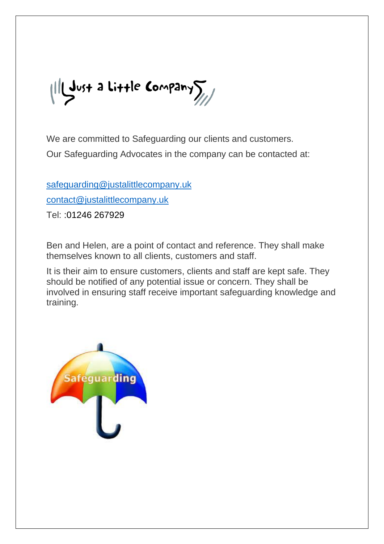$\|$ lgust a Little Company $\sum_{\ell}$ 

We are committed to Safeguarding our clients and customers. Our Safeguarding Advocates in the company can be contacted at:

[safeguarding@justalittlecompany.uk](mailto:safeguarding@justalittlecompany.uk)

[contact@justalittlecompany.uk](mailto:contact@justalittlecompany.uk)

Tel: :01246 267929

Ben and Helen, are a point of contact and reference. They shall make themselves known to all clients, customers and staff.

It is their aim to ensure customers, clients and staff are kept safe. They should be notified of any potential issue or concern. They shall be involved in ensuring staff receive important safeguarding knowledge and training.